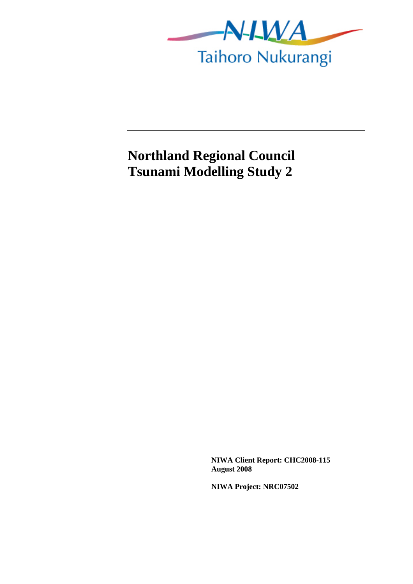

## **Northland Regional Council Tsunami Modelling Study 2**

**NIWA Client Report: CHC2008-115 August 2008** 

**NIWA Project: NRC07502**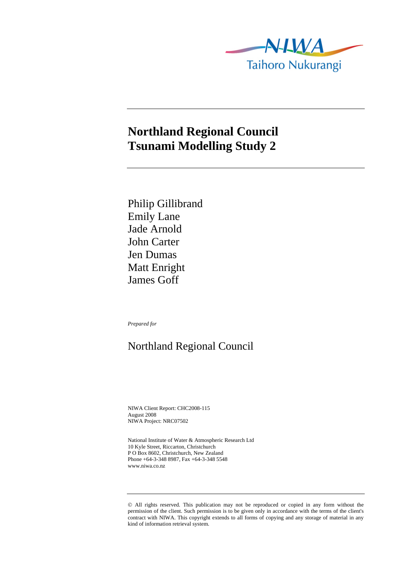

## **Northland Regional Council Tsunami Modelling Study 2**

Philip Gillibrand Emily Lane Jade Arnold John Carter Jen Dumas Matt Enright James Goff

*Prepared for* 

## Northland Regional Council

NIWA Client Report: CHC2008-115 August 2008 NIWA Project: NRC07502

National Institute of Water & Atmospheric Research Ltd 10 Kyle Street, Riccarton, Christchurch P O Box 8602, Christchurch, New Zealand Phone +64-3-348 8987, Fax +64-3-348 5548 www.niwa.co.nz

© All rights reserved. This publication may not be reproduced or copied in any form without the permission of the client. Such permission is to be given only in accordance with the terms of the client's contract with NIWA. This copyright extends to all forms of copying and any storage of material in any kind of information retrieval system.